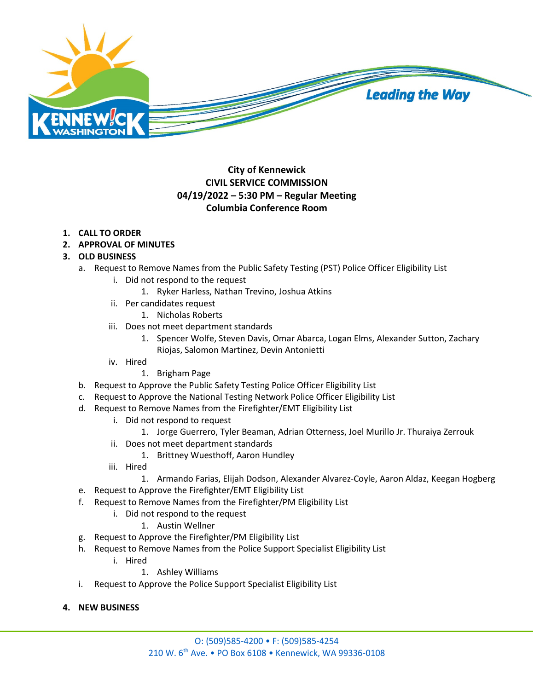

## **City of Kennewick CIVIL SERVICE COMMISSION 04/19/2022 – 5:30 PM – Regular Meeting Columbia Conference Room**

## **1. CALL TO ORDER**

**2. APPROVAL OF MINUTES**

## **3. OLD BUSINESS**

- a. Request to Remove Names from the Public Safety Testing (PST) Police Officer Eligibility List
	- i. Did not respond to the request
		- 1. Ryker Harless, Nathan Trevino, Joshua Atkins
	- ii. Per candidates request
		- 1. Nicholas Roberts
	- iii. Does not meet department standards
		- 1. Spencer Wolfe, Steven Davis, Omar Abarca, Logan Elms, Alexander Sutton, Zachary Riojas, Salomon Martinez, Devin Antonietti
	- iv. Hired
		- 1. Brigham Page
- b. Request to Approve the Public Safety Testing Police Officer Eligibility List
- c. Request to Approve the National Testing Network Police Officer Eligibility List
- d. Request to Remove Names from the Firefighter/EMT Eligibility List
	- i. Did not respond to request
		- 1. Jorge Guerrero, Tyler Beaman, Adrian Otterness, Joel Murillo Jr. Thuraiya Zerrouk
	- ii. Does not meet department standards
		- 1. Brittney Wuesthoff, Aaron Hundley
	- iii. Hired
		- 1. Armando Farias, Elijah Dodson, Alexander Alvarez-Coyle, Aaron Aldaz, Keegan Hogberg
- e. Request to Approve the Firefighter/EMT Eligibility List
- f. Request to Remove Names from the Firefighter/PM Eligibility List
	- i. Did not respond to the request
		- 1. Austin Wellner
- g. Request to Approve the Firefighter/PM Eligibility List
- h. Request to Remove Names from the Police Support Specialist Eligibility List
	- i. Hired
		- 1. Ashley Williams
- i. Request to Approve the Police Support Specialist Eligibility List
- **4. NEW BUSINESS**